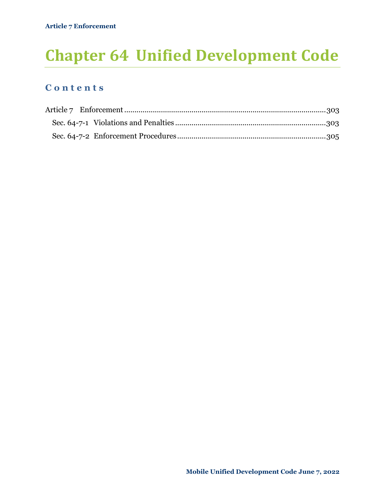# **Chapter 64 Unified Development Code**

## **C o n t e n t s**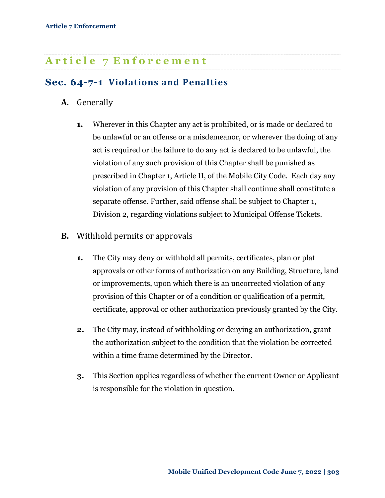## <span id="page-1-0"></span>**A r t i c l e 7 E n f o r c e m e n t**

## <span id="page-1-1"></span>**Sec. 64-7-1 Violations and Penalties**

- **A.** Generally
	- **1.** Wherever in this Chapter any act is prohibited, or is made or declared to be unlawful or an offense or a misdemeanor, or wherever the doing of any act is required or the failure to do any act is declared to be unlawful, the violation of any such provision of this Chapter shall be punished as prescribed in Chapter 1, Article II, of the Mobile City Code. Each day any violation of any provision of this Chapter shall continue shall constitute a separate offense. Further, said offense shall be subject to Chapter 1, Division 2, regarding violations subject to Municipal Offense Tickets.

- **B.** Withhold permits or approvals
	- **1.** The City may deny or withhold all permits, certificates, plan or plat approvals or other forms of authorization on any Building, Structure, land or improvements, upon which there is an uncorrected violation of any provision of this Chapter or of a condition or qualification of a permit, certificate, approval or other authorization previously granted by the City.
	- **2.** The City may, instead of withholding or denying an authorization, grant the authorization subject to the condition that the violation be corrected within a time frame determined by the Director.
	- **3.** This Section applies regardless of whether the current Owner or Applicant is responsible for the violation in question.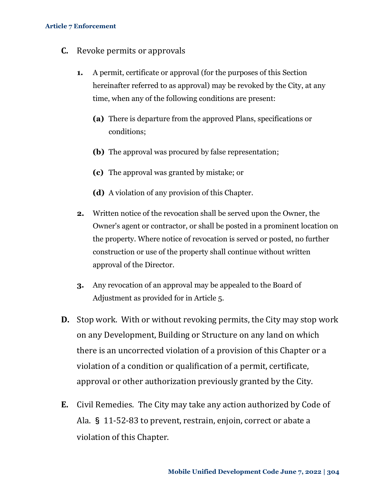#### **Article 7 Enforcement**

- **C.** Revoke permits or approvals
	- **1.** A permit, certificate or approval (for the purposes of this Section hereinafter referred to as approval) may be revoked by the City, at any time, when any of the following conditions are present:
		- **(a)** There is departure from the approved Plans, specifications or conditions;
		- **(b)** The approval was procured by false representation;
		- **(c)** The approval was granted by mistake; or
		- **(d)** A violation of any provision of this Chapter.
	- **2.** Written notice of the revocation shall be served upon the Owner, the Owner's agent or contractor, or shall be posted in a prominent location on the property. Where notice of revocation is served or posted, no further construction or use of the property shall continue without written approval of the Director.
	- **3.** Any revocation of an approval may be appealed to the Board of Adjustment as provided for in Article 5.
- **D.** Stop work. With or without revoking permits, the City may stop work on any Development, Building or Structure on any land on which there is an uncorrected violation of a provision of this Chapter or a violation of a condition or qualification of a permit, certificate, approval or other authorization previously granted by the City.
- **E.** Civil Remedies. The City may take any action authorized by Code of Ala. § 11-52-83 to prevent, restrain, enjoin, correct or abate a violation of this Chapter.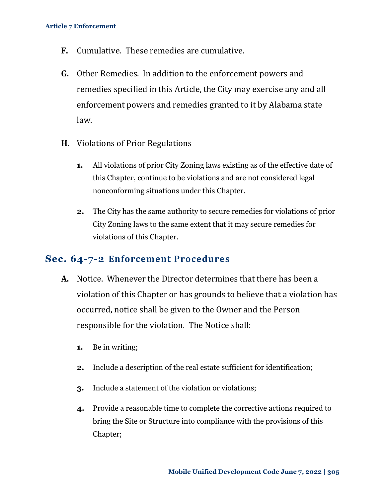- **F.** Cumulative. These remedies are cumulative.
- **G.** Other Remedies. In addition to the enforcement powers and remedies specified in this Article, the City may exercise any and all enforcement powers and remedies granted to it by Alabama state law.
- **H.** Violations of Prior Regulations
	- **1.** All violations of prior City Zoning laws existing as of the effective date of this Chapter, continue to be violations and are not considered legal nonconforming situations under this Chapter.
	- **2.** The City has the same authority to secure remedies for violations of prior City Zoning laws to the same extent that it may secure remedies for violations of this Chapter.

#### <span id="page-3-0"></span>**Sec. 64-7-2 Enforcement Procedures**

- **A.** Notice. Whenever the Director determines that there has been a violation of this Chapter or has grounds to believe that a violation has occurred, notice shall be given to the Owner and the Person responsible for the violation. The Notice shall:
	- **1.** Be in writing;
	- **2.** Include a description of the real estate sufficient for identification;
	- **3.** Include a statement of the violation or violations;
	- **4.** Provide a reasonable time to complete the corrective actions required to bring the Site or Structure into compliance with the provisions of this Chapter;